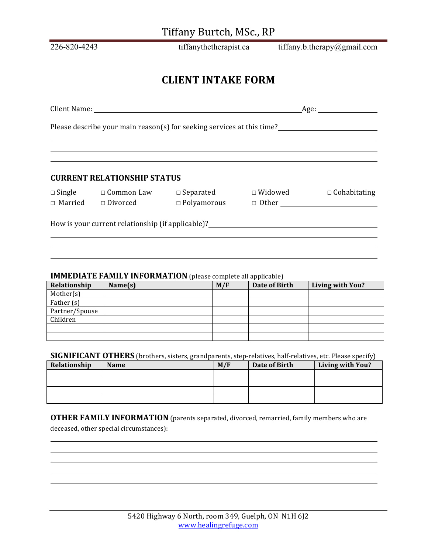# Tiffany Burtch, MSc., RP

226-820-4243 tiffanythetherapist.ca tiffany.b.therapy@gmail.com

# **CLIENT'INTAKE'FORM**

| Client Name:                                                           | Age: |
|------------------------------------------------------------------------|------|
|                                                                        |      |
| Please describe your main reason(s) for seeking services at this time? |      |

#### **CURRENT'RELATIONSHIP'STATUS''**

□ Married □ Divorced

☐ Single ☐ Common'Law ☐ Separated' ☐ Widowed ☐ Cohabitating

How is your current relationship (if applicable)?<br>
The same state of the state of the state of the state of the state of the state of the state of the state of the state of the state of the state of the state of the state

#### **IMMEDIATE FAMILY INFORMATION** (please complete all applicable)

| Relationship   | Name(s) | M/F | Date of Birth | Living with You? |
|----------------|---------|-----|---------------|------------------|
| Mother(s)      |         |     |               |                  |
| Father (s)     |         |     |               |                  |
| Partner/Spouse |         |     |               |                  |
| Children       |         |     |               |                  |
|                |         |     |               |                  |
|                |         |     |               |                  |

| <b>SIGNIFICANT OTHERS</b> (brothers, sisters, grandparents, step-relatives, half-relatives, etc. Please specify) |  |  |  |  |
|------------------------------------------------------------------------------------------------------------------|--|--|--|--|
|------------------------------------------------------------------------------------------------------------------|--|--|--|--|

| Relationship | <b>Name</b> | M/F | Date of Birth | <b>Living with You?</b> |
|--------------|-------------|-----|---------------|-------------------------|
|              |             |     |               |                         |
|              |             |     |               |                         |
|              |             |     |               |                         |
|              |             |     |               |                         |

**OTHER FAMILY INFORMATION** (parents separated, divorced, remarried, family members who are

deceased, other special circumstances): The control of the control of the control of the control of the control of the control of the control of the control of the control of the control of the control of the control of th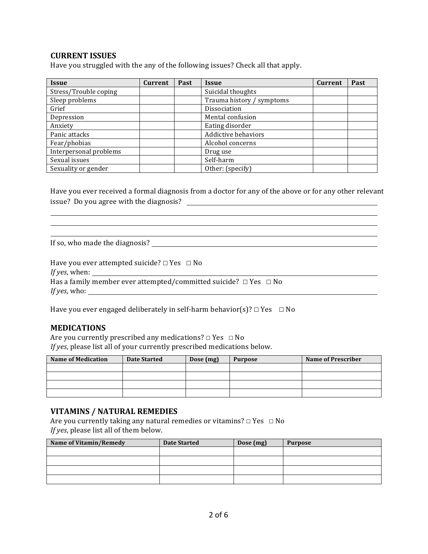## **CURRENT'ISSUES'**

Have you struggled with the any of the following issues? Check all that apply.

| <b>Issue</b>           | <b>Current</b> | Past | <b>Issue</b>              | Current | Past |
|------------------------|----------------|------|---------------------------|---------|------|
| Stress/Trouble coping  |                |      | Suicidal thoughts         |         |      |
| Sleep problems         |                |      | Trauma history / symptoms |         |      |
| Grief                  |                |      | Dissociation              |         |      |
| Depression             |                |      | Mental confusion          |         |      |
| Anxiety                |                |      | Eating disorder           |         |      |
| Panic attacks          |                |      | Addictive behaviors       |         |      |
| Fear/phobias           |                |      | Alcohol concerns          |         |      |
| Interpersonal problems |                |      | Drug use                  |         |      |
| Sexual issues          |                |      | Self-harm                 |         |      |
| Sexuality or gender    |                |      | Other: (specify)          |         |      |

Have you ever received a formal diagnosis from a doctor for any of the above or for any other relevant issue? Do you agree with the diagnosis?  $\Box$ 

<u> 1989 - Jan Salaman Salaman (j. 1989)</u>

<u> 1980 - Johann Stoff, fransk politik (d. 1980)</u>

If so, who made the diagnosis?

| Have you ever attempted suicide? $\Box$ Yes $\Box$ No                      |  |
|----------------------------------------------------------------------------|--|
| <i>If yes</i> , when:                                                      |  |
| Has a family member ever attempted/committed suicide? $\Box$ Yes $\Box$ No |  |
| <i>If yes,</i> who:                                                        |  |

Have you ever engaged deliberately in self-harm behavior(s)?  $□$  Yes  $□$  No

## **MEDICATIONS**

Are you currently prescribed any medications? $\Box$  Yes  $\Box$  No *If yes*, please list all of your currently prescribed medications below.

| <b>Name of Medication</b> | <b>Date Started</b> | Dose (mg) | <b>Purpose</b> | <b>Name of Prescriber</b> |
|---------------------------|---------------------|-----------|----------------|---------------------------|
|                           |                     |           |                |                           |
|                           |                     |           |                |                           |
|                           |                     |           |                |                           |
|                           |                     |           |                |                           |

## VITAMINS / NATURAL REMEDIES

Are you currently taking any natural remedies or vitamins? $□$  Yes  $□$  No *If yes*, please list all of them below.

| Name of Vitamin/Remedy | <b>Date Started</b> | Dose (mg) | <b>Purpose</b> |
|------------------------|---------------------|-----------|----------------|
|                        |                     |           |                |
|                        |                     |           |                |
|                        |                     |           |                |
|                        |                     |           |                |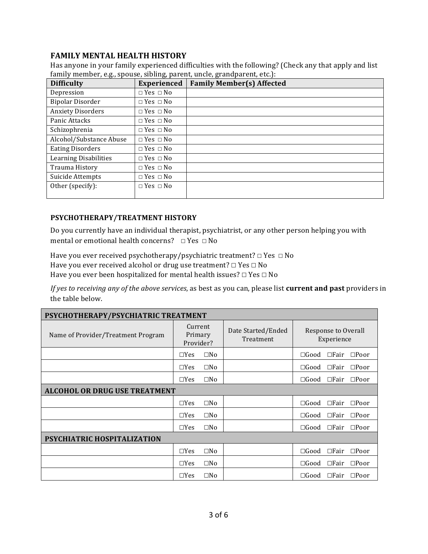## **FAMILY MENTAL HEALTH HISTORY**

Has anyone in your family experienced difficulties with the following? (Check any that apply and list family member, e.g., spouse, sibling, parent, uncle, grandparent, etc.):

| <b>Difficulty</b>            | <b>Experienced</b>   | <b>Family Member(s) Affected</b> |
|------------------------------|----------------------|----------------------------------|
| Depression                   | $\Box$ Yes $\Box$ No |                                  |
| <b>Bipolar Disorder</b>      | $\Box$ Yes $\Box$ No |                                  |
| <b>Anxiety Disorders</b>     | $\Box$ Yes $\Box$ No |                                  |
| Panic Attacks                | $\Box$ Yes $\Box$ No |                                  |
| Schizophrenia                | $\Box$ Yes $\Box$ No |                                  |
| Alcohol/Substance Abuse      | $\Box$ Yes $\Box$ No |                                  |
| <b>Eating Disorders</b>      | $\Box$ Yes $\Box$ No |                                  |
| <b>Learning Disabilities</b> | $\Box$ Yes $\Box$ No |                                  |
| Trauma History               | $\Box$ Yes $\Box$ No |                                  |
| Suicide Attempts             | $\Box$ Yes $\Box$ No |                                  |
| Other (specify):             | $\Box$ Yes $\Box$ No |                                  |
|                              |                      |                                  |

#### **PSYCHOTHERAPY/TREATMENT'HISTORY**

Do you currently have an individual therapist, psychiatrist, or any other person helping you with mental or emotional health concerns?  $□$  Yes  $□$  No

Have you ever received psychotherapy/psychiatric treatment? $□$  Yes  $□$  No Have you ever received alcohol or drug use treatment? □ Yes □ No Have you ever been hospitalized for mental health issues? $\Box$  Yes  $\Box$  No

*If yes to receiving any of the above services, as best as you can, please list current and past providers in* the table below.

| PSYCHOTHERAPY/PSYCHIATRIC TREATMENT  |                                 |              |                                 |                |                                   |  |
|--------------------------------------|---------------------------------|--------------|---------------------------------|----------------|-----------------------------------|--|
| Name of Provider/Treatment Program   | Current<br>Primary<br>Provider? |              | Date Started/Ended<br>Treatment |                | Response to Overall<br>Experience |  |
|                                      | $\Box$ Yes                      | $\square$ No |                                 | $\Box$ Good    | $\square$ Fair<br>$\square$ Poor  |  |
|                                      | $\Box$ Yes                      | $\square$ No |                                 | $\Box$ Good    | $\square$ Fair<br>$\square$ Poor  |  |
|                                      | $\Box$ Yes                      | $\square$ No |                                 | $\square$ Good | $\Box$ Fair $\Box$ Poor           |  |
| <b>ALCOHOL OR DRUG USE TREATMENT</b> |                                 |              |                                 |                |                                   |  |
|                                      | $\Box$ Yes                      | $\square$ No |                                 | $\Box$ Good    | $\Box$ Fair<br>$\square$ Poor     |  |
|                                      | $\Box$ Yes                      | $\square$ No |                                 | $\Box$ Good    | $\Box$ Fair<br>$\square$ Poor     |  |
|                                      | $\Box$ Yes                      | $\square$ No |                                 | $\Box$ Good    | $\Box$ Fair<br>$\square$ Poor     |  |
| PSYCHIATRIC HOSPITALIZATION          |                                 |              |                                 |                |                                   |  |
|                                      | $\Box$ Yes                      | $\square$ No |                                 | $\Box$ Good    | $\Box$ Fair<br>$\square$ Poor     |  |
|                                      | $\Box$ Yes                      | $\square$ No |                                 | $\square$ Good | $\Box$ Fair $\Box$ Poor           |  |
|                                      | $\Box$ Yes                      | $\square$ No |                                 | $\Box$ Good    | $\Box$ Fair<br>$\square$ Poor     |  |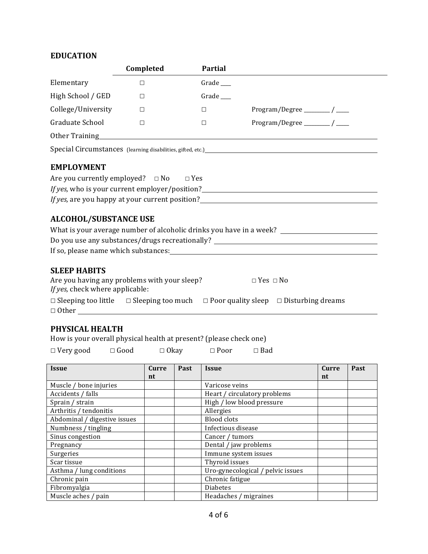# **EDUCATION**

|                                                                                                        | Completed | <b>Partial</b> |                                                                                                                                                                                                                                                                                                                                                                |
|--------------------------------------------------------------------------------------------------------|-----------|----------------|----------------------------------------------------------------------------------------------------------------------------------------------------------------------------------------------------------------------------------------------------------------------------------------------------------------------------------------------------------------|
| Elementary                                                                                             | $\Box$    | Grade__        |                                                                                                                                                                                                                                                                                                                                                                |
| High School / GED                                                                                      | $\Box$    | Grade_         |                                                                                                                                                                                                                                                                                                                                                                |
| College/University                                                                                     | $\Box$    | $\Box$         | Program/Degree ________/ ____                                                                                                                                                                                                                                                                                                                                  |
| Graduate School                                                                                        | П         | $\Box$         | Program/Degree ________/ ___                                                                                                                                                                                                                                                                                                                                   |
|                                                                                                        |           |                |                                                                                                                                                                                                                                                                                                                                                                |
|                                                                                                        |           |                |                                                                                                                                                                                                                                                                                                                                                                |
| <b>EMPLOYMENT</b><br>Are you currently employed? $\Box$ No $\Box$ Yes<br><b>ALCOHOL/SUBSTANCE USE</b>  |           |                | If yes, who is your current employer/position?<br><u>If yes</u> , who is your current employer/position?<br><i>If yes,</i> are you happy at your current position?<br>What is your average number of alcoholic drinks you have in a week? ________________________________<br>Do you use any substances/drugs recreationally? ________________________________ |
| <b>SLEEP HABITS</b><br>Are you having any problems with your sleep?<br>If yes, check where applicable: |           |                | $\Box$ Yes $\Box$ No                                                                                                                                                                                                                                                                                                                                           |
|                                                                                                        |           |                | $\Box$ Sleeping too little $\Box$ Sleeping too much $\Box$ Poor quality sleep $\Box$ Disturbing dreams                                                                                                                                                                                                                                                         |
|                                                                                                        |           |                |                                                                                                                                                                                                                                                                                                                                                                |

# PHYSICAL HEALTH

| How is your overall physical health at present? (please check one) |  |
|--------------------------------------------------------------------|--|
|--------------------------------------------------------------------|--|

|  |  |  |  | $\Box$ Very good $\Box$ Good $\Box$ Okay $\Box$ Poor $\Box$ Bad |
|--|--|--|--|-----------------------------------------------------------------|
|--|--|--|--|-----------------------------------------------------------------|

| <b>Issue</b>                 | <b>Curre</b> | Past | <b>Issue</b>                      | Curre | Past |
|------------------------------|--------------|------|-----------------------------------|-------|------|
|                              | nt           |      |                                   | nt    |      |
| Muscle / bone injuries       |              |      | Varicose veins                    |       |      |
| Accidents / falls            |              |      | Heart / circulatory problems      |       |      |
| Sprain / strain              |              |      | High / low blood pressure         |       |      |
| Arthritis / tendonitis       |              |      | Allergies                         |       |      |
| Abdominal / digestive issues |              |      | <b>Blood</b> clots                |       |      |
| Numbness / tingling          |              |      | Infectious disease                |       |      |
| Sinus congestion             |              |      | Cancer / tumors                   |       |      |
| Pregnancy                    |              |      | Dental / jaw problems             |       |      |
| Surgeries                    |              |      | Immune system issues              |       |      |
| Scar tissue                  |              |      | Thyroid issues                    |       |      |
| Asthma / lung conditions     |              |      | Uro-gynecological / pelvic issues |       |      |
| Chronic pain                 |              |      | Chronic fatigue                   |       |      |
| Fibromyalgia                 |              |      | <b>Diabetes</b>                   |       |      |
| Muscle aches / pain          |              |      | Headaches / migraines             |       |      |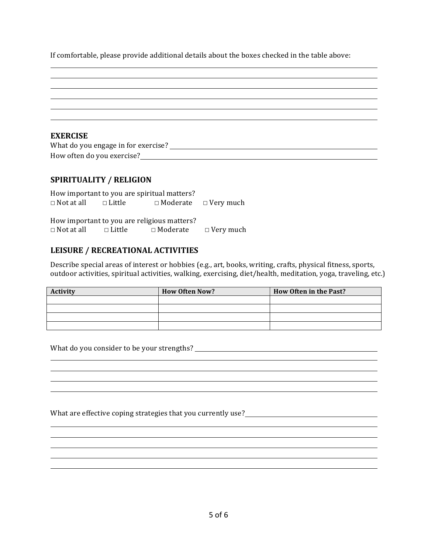If comfortable, please provide additional details about the boxes checked in the table above:

| <b>EXERCISE</b>                     |  |
|-------------------------------------|--|
| What do you engage in for exercise? |  |
| How often do you exercise?          |  |
|                                     |  |

#### SPIRITUALITY / RELIGION

| How important to you are spiritual matters? |                                     |                                  |                  |
|---------------------------------------------|-------------------------------------|----------------------------------|------------------|
| $\Box$ Not at all $\Box$ Little             |                                     | $\Box$ Moderate $\Box$ Very much |                  |
|                                             |                                     |                                  |                  |
| How important to you are religious matters? |                                     |                                  |                  |
| $\Box$ Not at all                           | $\square$ Little $\square$ Moderate |                                  | $\Box$ Very much |
|                                             |                                     |                                  |                  |

## **LEISURE / RECREATIONAL'ACTIVITIES**

Describe special areas of interest or hobbies (e.g., art, books, writing, crafts, physical fitness, sports, outdoor activities, spiritual activities, walking, exercising, diet/health, meditation, yoga, traveling, etc.)

| <b>Activity</b> | <b>How Often Now?</b> | How Often in the Past? |
|-----------------|-----------------------|------------------------|
|                 |                       |                        |
|                 |                       |                        |
|                 |                       |                        |
|                 |                       |                        |

<u> 1989 - Johann Stoff, amerikansk politiker (\* 1908)</u>

What do you consider to be your strengths?

What'are'effective'coping'strategies'that'you'currently'use?